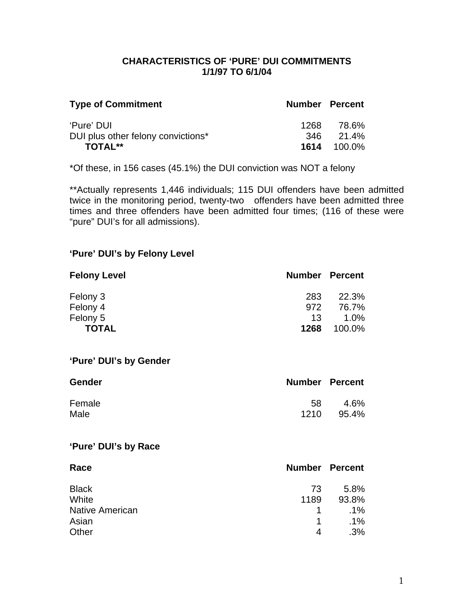### **CHARACTERISTICS OF 'PURE' DUI COMMITMENTS 1/1/97 TO 6/1/04**

| <b>Number Percent</b>       |
|-----------------------------|
| 78.6%<br>346 21.4%          |
| 1268.<br><b>1614</b> 100.0% |

\*Of these, in 156 cases (45.1%) the DUI conviction was NOT a felony

\*\*Actually represents 1,446 individuals; 115 DUI offenders have been admitted twice in the monitoring period, twenty-two offenders have been admitted three times and three offenders have been admitted four times; (116 of these were "pure" DUI's for all admissions).

### **'Pure' DUI's by Felony Level**

| <b>Felony Level</b> | <b>Number Percent</b> |         |
|---------------------|-----------------------|---------|
| Felony 3            | 283                   | 22.3%   |
| Felony 4            | 972                   | 76.7%   |
| Felony 5            | 13                    | $1.0\%$ |
| <b>TOTAL</b>        | 1268                  | 100.0%  |

#### **'Pure' DUI's by Gender**

| <b>Gender</b> | <b>Number Percent</b> |       |
|---------------|-----------------------|-------|
| Female        | 58                    | 4.6%  |
| Male          | 1210                  | 95.4% |

### **'Pure' DUI's by Race**

| Race                   | <b>Number Percent</b> |        |
|------------------------|-----------------------|--------|
| <b>Black</b>           | 73                    | 5.8%   |
| White                  | 1189                  | 93.8%  |
| <b>Native American</b> |                       | $.1\%$ |
| Asian                  | 1                     | $.1\%$ |
| Other                  | 4                     | .3%    |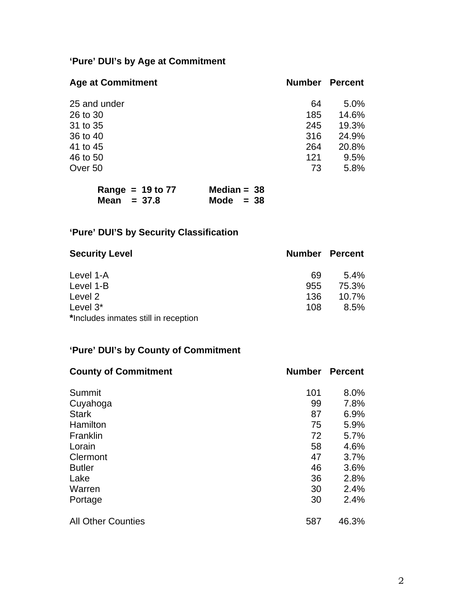# **'Pure' DUI's by Age at Commitment**

| <b>Age at Commitment</b> | <b>Number</b> | <b>Percent</b> |
|--------------------------|---------------|----------------|
| 25 and under             | 64            | 5.0%           |
| 26 to 30                 | 185           | 14.6%          |
| 31 to 35                 | 245           | 19.3%          |
| 36 to 40                 | 316           | 24.9%          |
| 41 to 45                 | 264           | 20.8%          |
| 46 to 50                 | 121           | 9.5%           |
| Over 50                  | 73            | 5.8%           |

| Range = $19$ to $77$ | Median = $38$ |
|----------------------|---------------|
| Mean $= 37.8$        | Mode $= 38$   |

# **'Pure' DUI'S by Security Classification**

| <b>Security Level</b>                | <b>Number Percent</b> |          |
|--------------------------------------|-----------------------|----------|
| Level 1-A                            | 69                    | $5.4\%$  |
| Level 1-B                            | 955                   | 75.3%    |
| Level 2                              | 136                   | $10.7\%$ |
| Level $3^*$                          | 108                   | 8.5%     |
| *Includes inmates still in reception |                       |          |

## **'Pure' DUI's by County of Commitment**

| <b>County of Commitment</b> | <b>Number</b> | <b>Percent</b> |
|-----------------------------|---------------|----------------|
| Summit                      | 101           | 8.0%           |
| Cuyahoga                    | 99            | 7.8%           |
| <b>Stark</b>                | 87            | 6.9%           |
| Hamilton                    | 75            | 5.9%           |
| Franklin                    | 72            | 5.7%           |
| Lorain                      | 58            | 4.6%           |
| Clermont                    | 47            | 3.7%           |
| <b>Butler</b>               | 46            | 3.6%           |
| Lake                        | 36            | 2.8%           |
| Warren                      | 30            | 2.4%           |
| Portage                     | 30            | 2.4%           |
| <b>All Other Counties</b>   | 587           | 46.3%          |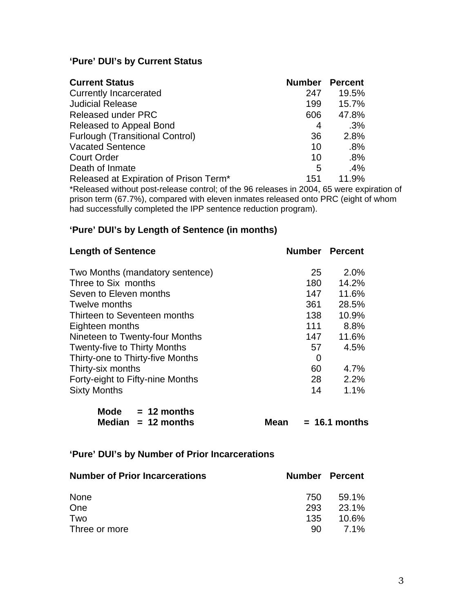### **'Pure' DUI's by Current Status**

| <b>Current Status</b>                                                             | <b>Number</b> | <b>Percent</b> |
|-----------------------------------------------------------------------------------|---------------|----------------|
| <b>Currently Incarcerated</b>                                                     | 247           | 19.5%          |
| <b>Judicial Release</b>                                                           | 199           | 15.7%          |
| <b>Released under PRC</b>                                                         | 606           | 47.8%          |
| Released to Appeal Bond                                                           | 4             | .3%            |
| <b>Furlough (Transitional Control)</b>                                            | 36            | 2.8%           |
| <b>Vacated Sentence</b>                                                           | 10            | $.8\%$         |
| <b>Court Order</b>                                                                | 10            | $.8\%$         |
| Death of Inmate                                                                   | 5             | $.4\%$         |
| Released at Expiration of Prison Term <sup>*</sup>                                | 151           | 11.9%          |
| *Released without post release control: of the OG releases in 2004. GE were evoir |               |                |

\*Released without post-release control; of the 96 releases in 2004, 65 were expiration of prison term (67.7%), compared with eleven inmates released onto PRC (eight of whom had successfully completed the IPP sentence reduction program).

### **'Pure' DUI's by Length of Sentence (in months)**

| <b>Length of Sentence</b>           | <b>Number Percent</b> |       |
|-------------------------------------|-----------------------|-------|
| Two Months (mandatory sentence)     | 25                    | 2.0%  |
| Three to Six months                 | 180                   | 14.2% |
| Seven to Eleven months              | 147                   | 11.6% |
| Twelve months                       | 361                   | 28.5% |
| Thirteen to Seventeen months        | 138                   | 10.9% |
| Eighteen months                     | 111                   | 8.8%  |
| Nineteen to Twenty-four Months      | 147                   | 11.6% |
| <b>Twenty-five to Thirty Months</b> | 57                    | 4.5%  |
| Thirty-one to Thirty-five Months    | 0                     |       |
| Thirty-six months                   | 60                    | 4.7%  |
| Forty-eight to Fifty-nine Months    | 28                    | 2.2%  |
| <b>Sixty Months</b>                 | 14                    | 1.1%  |

| Mode | $= 12$ months        |
|------|----------------------|
|      | Median $= 12$ months |

**Mean = 16.1 months** 

### **'Pure' DUI's by Number of Prior Incarcerations**

| <b>Number of Prior Incarcerations</b> |     | <b>Number Percent</b> |
|---------------------------------------|-----|-----------------------|
| <b>None</b>                           | 750 | 59.1%                 |
| One                                   | 293 | 23.1%                 |
| Two                                   | 135 | 10.6%                 |
| Three or more                         | 90. | <b>7.1%</b>           |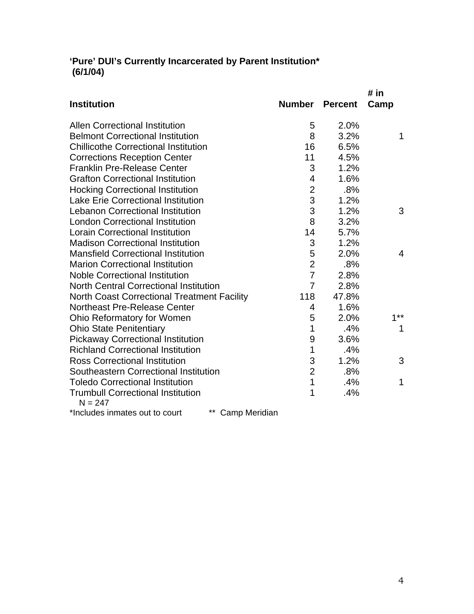### **'Pure' DUI's Currently Incarcerated by Parent Institution\* (6/1/04)**

|                                                       |                           |                | # in           |
|-------------------------------------------------------|---------------------------|----------------|----------------|
| <b>Institution</b>                                    | <b>Number</b>             | <b>Percent</b> | Camp           |
| <b>Allen Correctional Institution</b>                 | 5                         | 2.0%           |                |
| <b>Belmont Correctional Institution</b>               | 8                         | 3.2%           | 1              |
| <b>Chillicothe Correctional Institution</b>           | 16                        | 6.5%           |                |
| <b>Corrections Reception Center</b>                   | 11                        | 4.5%           |                |
| <b>Franklin Pre-Release Center</b>                    | 3                         | 1.2%           |                |
| <b>Grafton Correctional Institution</b>               | 4                         | 1.6%           |                |
| <b>Hocking Correctional Institution</b>               | $\overline{c}$            | .8%            |                |
| <b>Lake Erie Correctional Institution</b>             | 3                         | 1.2%           |                |
| <b>Lebanon Correctional Institution</b>               | 3                         | 1.2%           | 3              |
| <b>London Correctional Institution</b>                | 8                         | 3.2%           |                |
| <b>Lorain Correctional Institution</b>                | 14                        | 5.7%           |                |
| <b>Madison Correctional Institution</b>               | $\ensuremath{\mathsf{3}}$ | 1.2%           |                |
| <b>Mansfield Correctional Institution</b>             | 5                         | 2.0%           | $\overline{4}$ |
| <b>Marion Correctional Institution</b>                | $\overline{2}$            | .8%            |                |
| <b>Noble Correctional Institution</b>                 | $\overline{7}$            | 2.8%           |                |
| <b>North Central Correctional Institution</b>         | $\overline{7}$            | 2.8%           |                |
| <b>North Coast Correctional Treatment Facility</b>    | 118                       | 47.8%          |                |
| <b>Northeast Pre-Release Center</b>                   | 4                         | 1.6%           |                |
| Ohio Reformatory for Women                            | 5                         | 2.0%           | 1**            |
| <b>Ohio State Penitentiary</b>                        | 1                         | .4%            | 1              |
| <b>Pickaway Correctional Institution</b>              | 9                         | 3.6%           |                |
| <b>Richland Correctional Institution</b>              | 1                         | .4%            |                |
| <b>Ross Correctional Institution</b>                  | 3                         | 1.2%           | 3              |
| Southeastern Correctional Institution                 | $\overline{2}$            | .8%            |                |
| <b>Toledo Correctional Institution</b>                | 1                         | .4%            | 1              |
| <b>Trumbull Correctional Institution</b><br>$N = 247$ | 1                         | .4%            |                |
| $**$ $\sim$ $-$<br>المستنقص المكافئة والمستقصات       |                           |                |                |

\*Includes inmates out to court \*\* Camp Meridian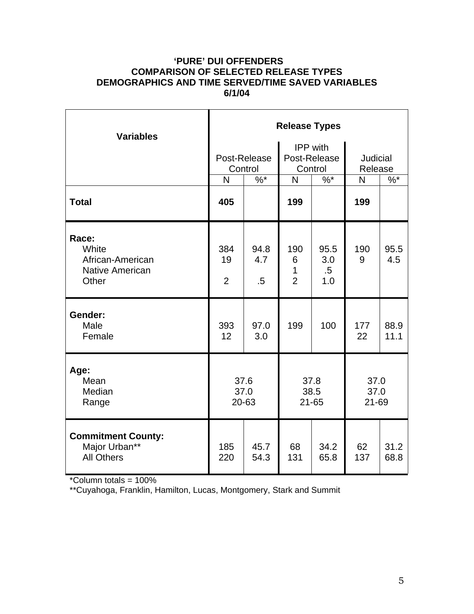### **'PURE' DUI OFFENDERS COMPARISON OF SELECTED RELEASE TYPES DEMOGRAPHICS AND TIME SERVED/TIME SAVED VARIABLES 6/1/04**

| <b>Variables</b>                                                      | <b>Release Types</b>        |                         |                                            |                              |                            |              |  |
|-----------------------------------------------------------------------|-----------------------------|-------------------------|--------------------------------------------|------------------------------|----------------------------|--------------|--|
|                                                                       |                             | Post-Release<br>Control | <b>IPP</b> with<br>Post-Release<br>Control |                              | <b>Judicial</b><br>Release |              |  |
|                                                                       | N                           | $\frac{9}{6}$ *         | N                                          | $\%$ *                       | $\mathsf{N}$               | $\%$ *       |  |
| <b>Total</b>                                                          | 405                         |                         | 199                                        |                              | 199                        |              |  |
| Race:<br>White<br>African-American<br><b>Native American</b><br>Other | 384<br>19<br>$\overline{2}$ | 94.8<br>4.7<br>.5       | 190<br>6<br>1<br>$\overline{2}$            | 95.5<br>3.0<br>$.5\,$<br>1.0 | 190<br>9                   | 95.5<br>4.5  |  |
| Gender:<br>Male<br>Female                                             | 393<br>12                   | 97.0<br>3.0             | 199                                        | 100                          | 177<br>22                  | 88.9<br>11.1 |  |
| Age:<br>Mean<br>Median<br>Range                                       | 37.6<br>37.0<br>20-63       |                         | 37.8<br>38.5<br>$21 - 65$                  |                              | 37.0<br>37.0<br>21-69      |              |  |
| <b>Commitment County:</b><br>Major Urban**<br><b>All Others</b>       | 185<br>220                  | 45.7<br>54.3            | 68<br>131                                  | 34.2<br>65.8                 | 62<br>137                  | 31.2<br>68.8 |  |

\*Column totals = 100%

\*\*Cuyahoga, Franklin, Hamilton, Lucas, Montgomery, Stark and Summit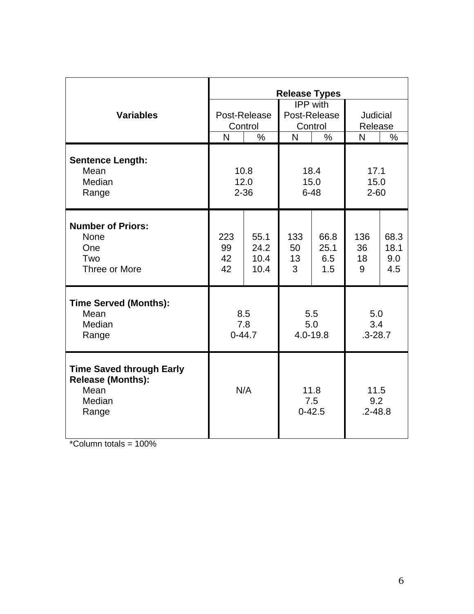|                                                                                        | <b>Release Types</b>     |                              |                                            |                            |                            |                            |  |
|----------------------------------------------------------------------------------------|--------------------------|------------------------------|--------------------------------------------|----------------------------|----------------------------|----------------------------|--|
| <b>Variables</b>                                                                       | Post-Release<br>Control  |                              | <b>IPP</b> with<br>Post-Release<br>Control |                            | Judicial<br>Release        |                            |  |
|                                                                                        | $\overline{\mathsf{N}}$  | $\frac{0}{0}$                | N                                          | $\frac{0}{0}$              | N                          | $\%$                       |  |
| <b>Sentence Length:</b><br>Mean<br>Median<br>Range                                     | 10.8<br>12.0<br>$2 - 36$ |                              | 18.4<br>15.0<br>$6 - 48$                   |                            | 17.1<br>15.0<br>$2 - 60$   |                            |  |
| <b>Number of Priors:</b><br><b>None</b><br>One<br>Two<br>Three or More                 | 223<br>99<br>42<br>42    | 55.1<br>24.2<br>10.4<br>10.4 | 133<br>50<br>13<br>3                       | 66.8<br>25.1<br>6.5<br>1.5 | 136<br>36<br>18<br>9       | 68.3<br>18.1<br>9.0<br>4.5 |  |
| <b>Time Served (Months):</b><br>Mean<br>Median<br>Range                                | 8.5<br>7.8<br>$0 - 44.7$ |                              | 5.5<br>5.0<br>4.0-19.8                     |                            | 5.0<br>3.4<br>$.3 - 28.7$  |                            |  |
| <b>Time Saved through Early</b><br><b>Release (Months):</b><br>Mean<br>Median<br>Range | N/A                      |                              | 11.8<br>7.5<br>$0 - 42.5$                  |                            | 11.5<br>9.2<br>$.2 - 48.8$ |                            |  |

 $*$ Column totals = 100%